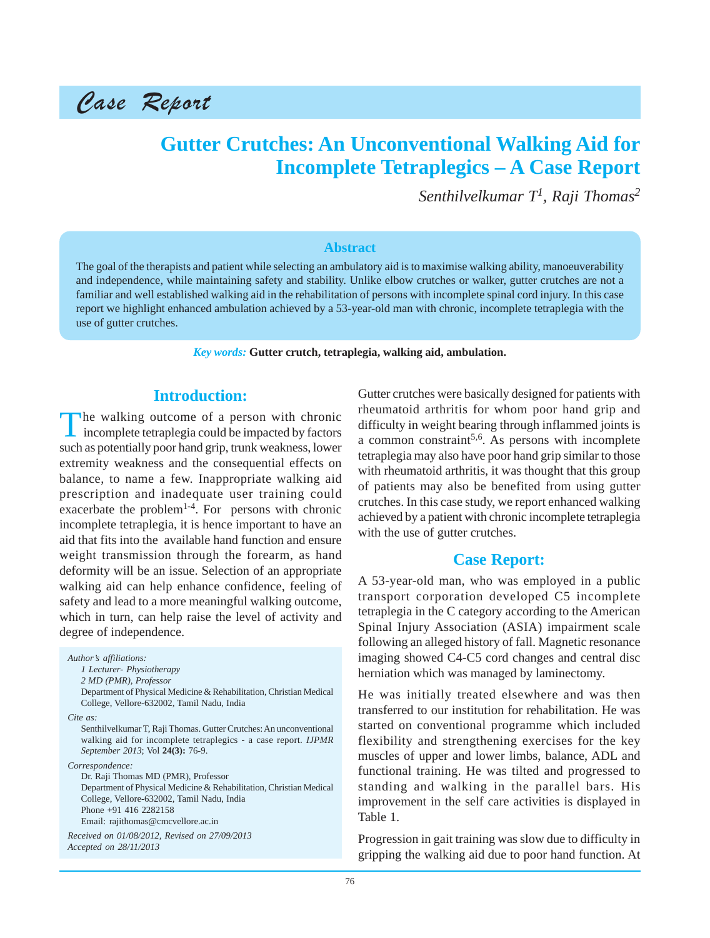Case Report

# **Gutter Crutches: An Unconventional Walking Aid for Incomplete Tetraplegics – A Case Report**

*Senthilvelkumar T<sup>1</sup> , Raji Thomas2*

#### **Abstract**

The goal of the therapists and patient while selecting an ambulatory aid is to maximise walking ability, manoeuverability and independence, while maintaining safety and stability. Unlike elbow crutches or walker, gutter crutches are not a familiar and well established walking aid in the rehabilitation of persons with incomplete spinal cord injury. In this case report we highlight enhanced ambulation achieved by a 53-year-old man with chronic, incomplete tetraplegia with the use of gutter crutches.

*Key words:* **Gutter crutch, tetraplegia, walking aid, ambulation.**

## **Introduction:**

The walking outcome of a person with chronic<br>incomplete tetraplegia could be impacted by factors such as potentially poor hand grip, trunk weakness, lower extremity weakness and the consequential effects on balance, to name a few. Inappropriate walking aid prescription and inadequate user training could exacerbate the problem<sup>1-4</sup>. For persons with chronic incomplete tetraplegia, it is hence important to have an aid that fits into the available hand function and ensure weight transmission through the forearm, as hand deformity will be an issue. Selection of an appropriate walking aid can help enhance confidence, feeling of safety and lead to a more meaningful walking outcome, which in turn, can help raise the level of activity and degree of independence.

*Author's affiliations: 1 Lecturer- Physiotherapy 2 MD (PMR), Professor* Department of Physical Medicine & Rehabilitation, Christian Medical College, Vellore-632002, Tamil Nadu, India *Cite as:* Senthilvelkumar T, Raji Thomas. Gutter Crutches: An unconventional walking aid for incomplete tetraplegics - a case report. *IJPMR September 2013*; Vol **24(3):** 76-9. *Correspondence:* Dr. Raji Thomas MD (PMR), Professor Department of Physical Medicine & Rehabilitation, Christian Medical College, Vellore-632002, Tamil Nadu, India Phone +91 416 2282158 Email: rajithomas@cmcvellore.ac.in *Received on 01/08/2012, Revised on 27/09/2013 Accepted on 28/11/2013*

Gutter crutches were basically designed for patients with rheumatoid arthritis for whom poor hand grip and difficulty in weight bearing through inflammed joints is a common constraint<sup>5,6</sup>. As persons with incomplete tetraplegia may also have poor hand grip similar to those with rheumatoid arthritis, it was thought that this group of patients may also be benefited from using gutter crutches. In this case study, we report enhanced walking achieved by a patient with chronic incomplete tetraplegia with the use of gutter crutches.

## **Case Report:**

A 53-year-old man, who was employed in a public transport corporation developed C5 incomplete tetraplegia in the C category according to the American Spinal Injury Association (ASIA) impairment scale following an alleged history of fall. Magnetic resonance imaging showed C4-C5 cord changes and central disc herniation which was managed by laminectomy.

He was initially treated elsewhere and was then transferred to our institution for rehabilitation. He was started on conventional programme which included flexibility and strengthening exercises for the key muscles of upper and lower limbs, balance, ADL and functional training. He was tilted and progressed to standing and walking in the parallel bars. His improvement in the self care activities is displayed in Table 1.

Progression in gait training was slow due to difficulty in gripping the walking aid due to poor hand function. At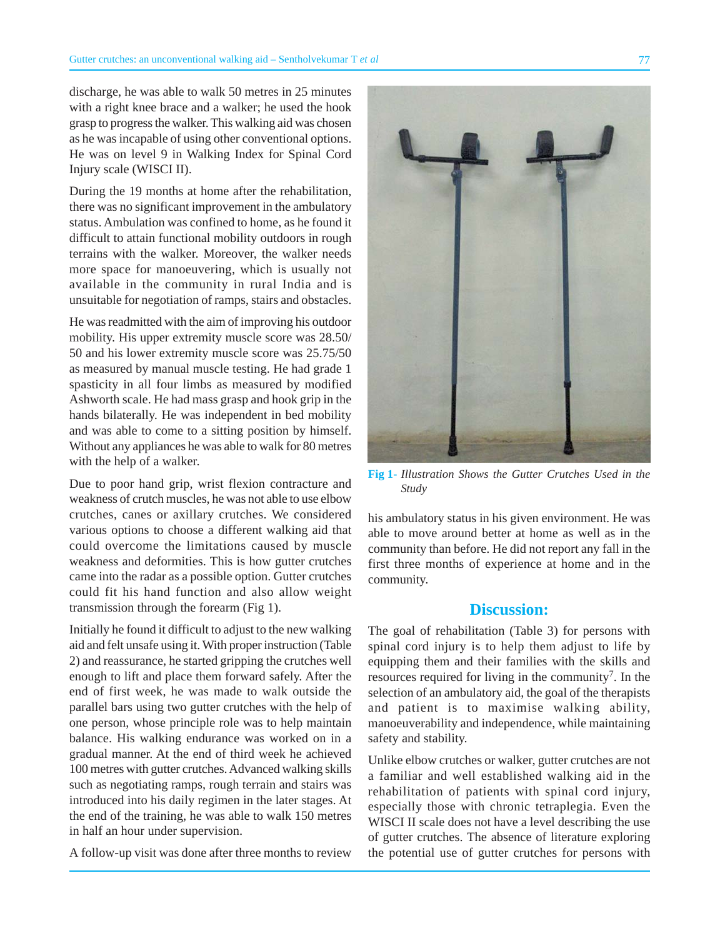discharge, he was able to walk 50 metres in 25 minutes with a right knee brace and a walker; he used the hook grasp to progress the walker. This walking aid was chosen as he was incapable of using other conventional options. He was on level 9 in Walking Index for Spinal Cord Injury scale (WISCI II).

During the 19 months at home after the rehabilitation, there was no significant improvement in the ambulatory status. Ambulation was confined to home, as he found it difficult to attain functional mobility outdoors in rough terrains with the walker. Moreover, the walker needs more space for manoeuvering, which is usually not available in the community in rural India and is unsuitable for negotiation of ramps, stairs and obstacles.

He was readmitted with the aim of improving his outdoor mobility. His upper extremity muscle score was 28.50/ 50 and his lower extremity muscle score was 25.75/50 as measured by manual muscle testing. He had grade 1 spasticity in all four limbs as measured by modified Ashworth scale. He had mass grasp and hook grip in the hands bilaterally. He was independent in bed mobility and was able to come to a sitting position by himself. Without any appliances he was able to walk for 80 metres with the help of a walker.

Due to poor hand grip, wrist flexion contracture and weakness of crutch muscles, he was not able to use elbow crutches, canes or axillary crutches. We considered various options to choose a different walking aid that could overcome the limitations caused by muscle weakness and deformities. This is how gutter crutches came into the radar as a possible option. Gutter crutches could fit his hand function and also allow weight transmission through the forearm (Fig 1).

Initially he found it difficult to adjust to the new walking aid and felt unsafe using it. With proper instruction (Table 2) and reassurance, he started gripping the crutches well enough to lift and place them forward safely. After the end of first week, he was made to walk outside the parallel bars using two gutter crutches with the help of one person, whose principle role was to help maintain balance. His walking endurance was worked on in a gradual manner. At the end of third week he achieved 100 metres with gutter crutches. Advanced walking skills such as negotiating ramps, rough terrain and stairs was introduced into his daily regimen in the later stages. At the end of the training, he was able to walk 150 metres in half an hour under supervision.

A follow-up visit was done after three months to review

**Fig 1-** *Illustration Shows the Gutter Crutches Used in the Study*

his ambulatory status in his given environment. He was able to move around better at home as well as in the community than before. He did not report any fall in the first three months of experience at home and in the community.

## **Discussion:**

The goal of rehabilitation (Table 3) for persons with spinal cord injury is to help them adjust to life by equipping them and their families with the skills and resources required for living in the community<sup>7</sup>. In the selection of an ambulatory aid, the goal of the therapists and patient is to maximise walking ability, manoeuverability and independence, while maintaining safety and stability.

Unlike elbow crutches or walker, gutter crutches are not a familiar and well established walking aid in the rehabilitation of patients with spinal cord injury, especially those with chronic tetraplegia. Even the WISCI II scale does not have a level describing the use of gutter crutches. The absence of literature exploring the potential use of gutter crutches for persons with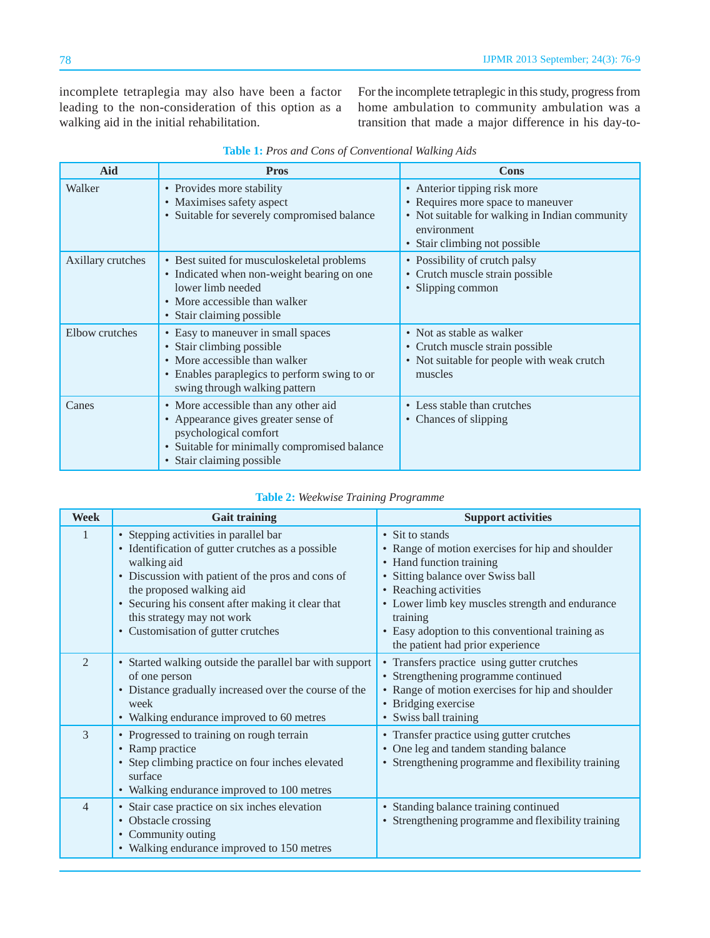incomplete tetraplegia may also have been a factor leading to the non-consideration of this option as a walking aid in the initial rehabilitation.

For the incomplete tetraplegic in this study, progress from home ambulation to community ambulation was a transition that made a major difference in his day-to-

| <b>Aid</b>        | <b>Pros</b>                                                                                                                                                                       | Cons                                                                                                                                                                |
|-------------------|-----------------------------------------------------------------------------------------------------------------------------------------------------------------------------------|---------------------------------------------------------------------------------------------------------------------------------------------------------------------|
| Walker            | • Provides more stability<br>• Maximises safety aspect<br>• Suitable for severely compromised balance                                                                             | • Anterior tipping risk more<br>• Requires more space to maneuver<br>• Not suitable for walking in Indian community<br>environment<br>• Stair climbing not possible |
| Axillary crutches | • Best suited for musculoskeletal problems<br>• Indicated when non-weight bearing on one<br>lower limb needed<br>• More accessible than walker<br>• Stair claiming possible       | • Possibility of crutch palsy<br>• Crutch muscle strain possible<br>· Slipping common                                                                               |
| Elbow crutches    | • Easy to maneuver in small spaces<br>• Stair climbing possible<br>• More accessible than walker<br>• Enables paraplegics to perform swing to or<br>swing through walking pattern | • Not as stable as walker<br>• Crutch muscle strain possible<br>• Not suitable for people with weak crutch<br>muscles                                               |
| Canes             | • More accessible than any other aid<br>• Appearance gives greater sense of<br>psychological comfort<br>• Suitable for minimally compromised balance<br>• Stair claiming possible | • Less stable than crutches<br>• Chances of slipping                                                                                                                |

| Table 1: Pros and Cons of Conventional Walking Aids |  |  |  |  |
|-----------------------------------------------------|--|--|--|--|
|-----------------------------------------------------|--|--|--|--|

#### **Table 2:** *Weekwise Training Programme*

| <b>Week</b>    | <b>Gait training</b>                                                                                                                                                                                                                                                                                                | <b>Support activities</b>                                                                                                                                                                                                                                                                                            |
|----------------|---------------------------------------------------------------------------------------------------------------------------------------------------------------------------------------------------------------------------------------------------------------------------------------------------------------------|----------------------------------------------------------------------------------------------------------------------------------------------------------------------------------------------------------------------------------------------------------------------------------------------------------------------|
|                | • Stepping activities in parallel bar<br>• Identification of gutter crutches as a possible<br>walking aid<br>• Discussion with patient of the pros and cons of<br>the proposed walking aid<br>• Securing his consent after making it clear that<br>this strategy may not work<br>• Customisation of gutter crutches | • Sit to stands<br>• Range of motion exercises for hip and shoulder<br>• Hand function training<br>• Sitting balance over Swiss ball<br>• Reaching activities<br>• Lower limb key muscles strength and endurance<br>training<br>• Easy adoption to this conventional training as<br>the patient had prior experience |
| $\mathfrak{D}$ | Started walking outside the parallel bar with support<br>$\bullet$<br>of one person<br>• Distance gradually increased over the course of the<br>week<br>• Walking endurance improved to 60 metres                                                                                                                   | • Transfers practice using gutter crutches<br>• Strengthening programme continued<br>• Range of motion exercises for hip and shoulder<br>• Bridging exercise<br>• Swiss ball training                                                                                                                                |
| 3              | • Progressed to training on rough terrain<br>• Ramp practice<br>• Step climbing practice on four inches elevated<br>surface<br>Walking endurance improved to 100 metres<br>$\bullet$                                                                                                                                | • Transfer practice using gutter crutches<br>One leg and tandem standing balance<br>• Strengthening programme and flexibility training                                                                                                                                                                               |
| $\overline{4}$ | • Stair case practice on six inches elevation<br>• Obstacle crossing<br>• Community outing<br>• Walking endurance improved to 150 metres                                                                                                                                                                            | • Standing balance training continued<br>• Strengthening programme and flexibility training                                                                                                                                                                                                                          |